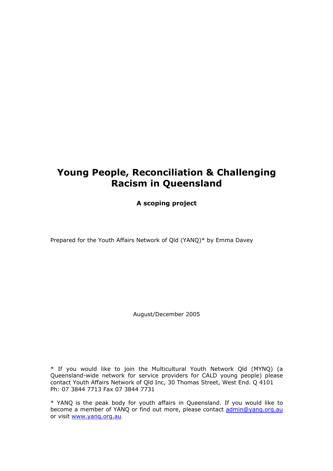# **Young People, Reconciliation & Challenging Racism in Queensland**

**A scoping project** 

Prepared for the Youth Affairs Network of Qld (YANQ)\* by Emma Davey

August/December 2005

\* If you would like to join the Multicultural Youth Network Qld (MYNQ) (a Queensland-wide network for service providers for CALD young people) please contact Youth Affairs Network of Qld Inc, 30 Thomas Street, West End. Q 4101 Ph: 07 3844 7713 Fax 07 3844 7731

\* YANQ is the peak body for youth affairs in Queensland. If you would like to become a member of YANQ or find out more, please contact [admin@yanq.org.au](mailto:admin@yanq.org.au) or visit [www.yanq.org.au](http://www.yanq.org.au/)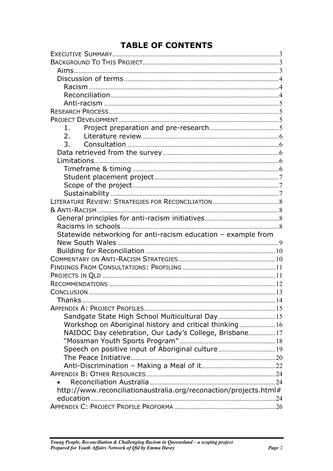# **TABLE OF CONTENTS**

| 1.                                                                |  |
|-------------------------------------------------------------------|--|
| 2.                                                                |  |
| 3.                                                                |  |
|                                                                   |  |
|                                                                   |  |
|                                                                   |  |
|                                                                   |  |
|                                                                   |  |
|                                                                   |  |
|                                                                   |  |
|                                                                   |  |
|                                                                   |  |
|                                                                   |  |
| Statewide networking for anti-racism education - example from     |  |
|                                                                   |  |
|                                                                   |  |
|                                                                   |  |
|                                                                   |  |
|                                                                   |  |
|                                                                   |  |
|                                                                   |  |
|                                                                   |  |
|                                                                   |  |
| Sandgate State High School Multicultural Day 15                   |  |
| Workshop on Aboriginal history and critical thinking  16          |  |
| NAIDOC Day celebration, Our Lady's College, Brisbane17            |  |
|                                                                   |  |
| Speech on positive input of Aboriginal culture19                  |  |
|                                                                   |  |
|                                                                   |  |
|                                                                   |  |
|                                                                   |  |
| http://www.reconciliationaustralia.org/reconaction/projects.html# |  |
|                                                                   |  |
|                                                                   |  |
|                                                                   |  |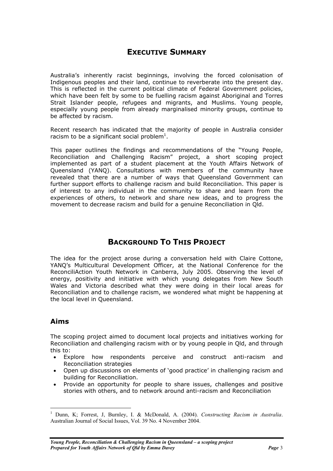## **EXECUTIVE SUMMARY**

<span id="page-2-0"></span>Australia's inherently racist beginnings, involving the forced colonisation of Indigenous peoples and their land, continue to reverberate into the present day. This is reflected in the current political climate of Federal Government policies, which have been felt by some to be fuelling racism against Aboriginal and Torres Strait Islander people, refugees and migrants, and Muslims. Young people, especially young people from already marginalised minority groups, continue to be affected by racism.

Recent research has indicated that the majority of people in Australia consider racism to be a significant social problem<sup>[1](#page-2-1)</sup>.

This paper outlines the findings and recommendations of the "Young People, Reconciliation and Challenging Racism" project, a short scoping project implemented as part of a student placement at the Youth Affairs Network of Queensland (YANQ). Consultations with members of the community have revealed that there are a number of ways that Queensland Government can further support efforts to challenge racism and build Reconciliation. This paper is of interest to any individual in the community to share and learn from the experiences of others, to network and share new ideas, and to progress the movement to decrease racism and build for a genuine Reconciliation in Qld.

## **BACKGROUND TO THIS PROJECT**

The idea for the project arose during a conversation held with Claire Cottone, YANQ's Multicultural Development Officer, at the National Conference for the ReconciliAction Youth Network in Canberra, July 2005. Observing the level of energy, positivity and initiative with which young delegates from New South Wales and Victoria described what they were doing in their local areas for Reconciliation and to challenge racism, we wondered what might be happening at the local level in Queensland.

### **Aims**

 $\overline{a}$ 

The scoping project aimed to document local projects and initiatives working for Reconciliation and challenging racism with or by young people in Qld, and through this to:

- Explore how respondents perceive and construct anti-racism and Reconciliation strategies
- Open up discussions on elements of 'good practice' in challenging racism and building for Reconciliation.
- Provide an opportunity for people to share issues, challenges and positive stories with others, and to network around anti-racism and Reconciliation

<span id="page-2-1"></span><sup>1</sup> Dunn, K; Forrest, J, Burnley, I. & McDonald, A. (2004). *Constructing Racism in Australia*. Australian Journal of Social Issues, Vol. 39 No. 4 November 2004.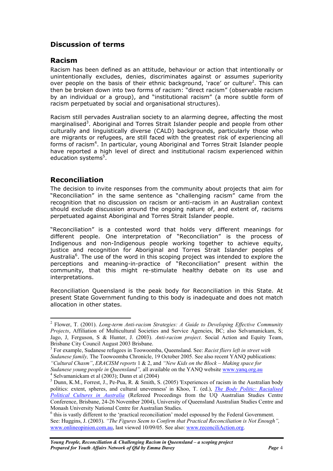## <span id="page-3-0"></span>**Discussion of terms**

### **Racism**

Racism has been defined as an attitude, behaviour or action that intentionally or unintentionally excludes, denies, discriminates against or assumes superiority over people on the basis of their ethnic background, 'race' or culture<sup>2</sup>. This can then be broken down into two forms of racism: "direct racism" (observable racism by an individual or a group), and "institutional racism" (a more subtle form of racism perpetuated by social and organisational structures).

Racism still pervades Australian society to an alarming degree, affecting the most marginalised<sup>[3](#page-3-2)</sup>. Aboriginal and Torres Strait Islander people and people from other culturally and linguistically diverse (CALD) backgrounds, particularly those who are migrants or refugees, are still faced with the greatest risk of experiencing all forms of racism<sup>[4](#page-3-3)</sup>. In particular, young Aboriginal and Torres Strait Islander people have reported a high level of direct and institutional racism experienced within education systems<sup>[5](#page-3-4)</sup>.

### **Reconciliation**

 $\overline{a}$ 

The decision to invite responses from the community about projects that aim for "Reconciliation" in the same sentence as "challenging racism" came from the recognition that no discussion on racism or anti-racism in an Australian context should exclude discussion around the ongoing nature of, and extent of, racisms perpetuated against Aboriginal and Torres Strait Islander people.

"Reconciliation" is a contested word that holds very different meanings for different people. One interpretation of "Reconciliation" is the process of Indigenous and non-Indigenous people working together to achieve equity, justice and recognition for Aboriginal and Torres Strait Islander peoples of Australia<sup>[6](#page-3-5)</sup>. The use of the word in this scoping project was intended to explore the perceptions and meaning-in-practice of "Reconciliation" present within the community, that this might re-stimulate healthy debate on its use and interpretations.

Reconciliation Queensland is the peak body for Reconciliation in this State. At present State Government funding to this body is inadequate and does not match allocation in other states.

<span id="page-3-1"></span><sup>2</sup> Flower, T. (2001). *Long-term Anti-racism Strategies: A Guide to Developing Effective Community Projects*, Affiliation of Multicultural Societies and Service Agencies, BC; also Selvamanickam, S; Jago, J, Ferguson, S & Hunter, J. (2003). *Anti-racism project*. Social Action and Equity Team, Brisbane City Council August 2003 Brisbane. 3

<span id="page-3-2"></span>For example, Sudanese refugees in Toowoomba, Queensland. See: *Racist fliers left in street with Sudanese family,* The Toowoomba Chronicle, 19 October 2005. See also recent YANQ publications: *"Cultural Chasm"*, *ERACISM reports* 1 & 2, and *"New Kids on the Block – Making space for Sudanese young people in Queensland",* all available on the YANQ website [www.yanq.org.au](http://www.yanq.org.au/) <sup>4</sup>

<span id="page-3-3"></span> $4$  Selvamanickam et al (2003); Dunn et al (2004)

<span id="page-3-4"></span> $<sup>5</sup>$  Dunn, K.M., Forrest, J., Pe-Pua, R. & Smith, S. (2005) 'Experiences of racism in the Australian body</sup> politics: extent, spheres, and cultural unevenness' in Khoo, T. (ed.), *[The Body Politic: Racialised](http://www.bees.unsw.edu.au/school/staff/dunn/B9.pdf) [Political Cultures in Australia](http://www.bees.unsw.edu.au/school/staff/dunn/B9.pdf)* (Refereed Proceedings from the UQ Australian Studies Centre Conference, Brisbane, 24-26 November 2004), University of Queensland Australian Studies Centre and Monash University National Centre for Australian Studies. 6

<span id="page-3-5"></span> $<sup>6</sup>$  this is vastly different to the 'practical reconciliation' model espoused by the Federal Government.</sup> See: Huggins, J. (2003). *"The Figures Seem to Confirm that Practical Reconciliation is Not Enough",* [www.onlineopinion.com.au](http://www.onlineopinion.com.au/), last viewed 10/09/05. See also: [www.reconciliAction.org](http://www.reconciliaction.org/).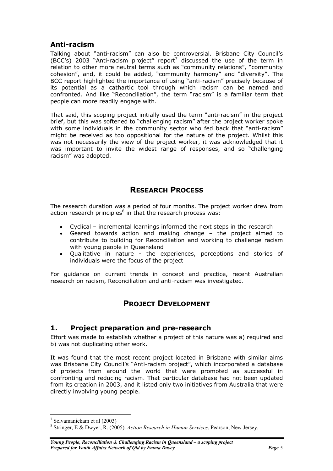### <span id="page-4-0"></span>**Anti-racism**

Talking about "anti-racism" can also be controversial. Brisbane City Council's (BCC's) 2003 "Anti-racism project" report<sup>[7](#page-4-1)</sup> discussed the use of the term in relation to other more neutral terms such as "community relations", "community cohesion", and, it could be added, "community harmony" and "diversity". The BCC report highlighted the importance of using "anti-racism" precisely because of its potential as a cathartic tool through which racism can be named and confronted. And like "Reconciliation", the term "racism" is a familiar term that people can more readily engage with.

That said, this scoping project initially used the term "anti-racism" in the project brief, but this was softened to "challenging racism" after the project worker spoke with some individuals in the community sector who fed back that "anti-racism" might be received as too oppositional for the nature of the project. Whilst this was not necessarily the view of the project worker, it was acknowledged that it was important to invite the widest range of responses, and so "challenging racism" was adopted.

## **RESEARCH PROCESS**

The research duration was a period of four months. The project worker drew from action research principles $^8$  $^8$  in that the research process was:

- Cyclical incremental learnings informed the next steps in the research
- Geared towards action and making change the project aimed to contribute to building for Reconciliation and working to challenge racism with young people in Queensland
- Qualitative in nature the experiences, perceptions and stories of individuals were the focus of the project

For guidance on current trends in concept and practice, recent Australian research on racism, Reconciliation and anti-racism was investigated.

## **PROJECT DEVELOPMENT**

### **1. Project preparation and pre-research**

Effort was made to establish whether a project of this nature was a) required and b) was not duplicating other work.

It was found that the most recent project located in Brisbane with similar aims was Brisbane City Council's "Anti-racism project", which incorporated a database of projects from around the world that were promoted as successful in confronting and reducing racism. That particular database had not been updated from its creation in 2003, and it listed only two initiatives from Australia that were directly involving young people.

 $\overline{a}$ 

<span id="page-4-1"></span><sup>&</sup>lt;sup>7</sup> Selvamanickam et al  $(2003)$ <br><sup>8</sup> Stringer, E. & Dunger, B.  $(200)$ 

<span id="page-4-2"></span>Stringer, E & Dwyer, R. (2005). *Action Research in Human Services*. Pearson, New Jersey.

*Young People, Reconciliation & Challenging Racism in Queensland – a scoping project Prepared for Youth Affairs Network of Qld by <i>Emma Davey Page 5*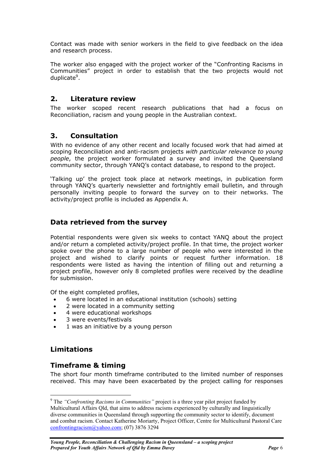<span id="page-5-0"></span>Contact was made with senior workers in the field to give feedback on the idea and research process.

The worker also engaged with the project worker of the "Confronting Racisms in Communities" project in order to establish that the two projects would not duplicate<sup>[9](#page-5-1)</sup>.

### **2. Literature review**

The worker scoped recent research publications that had a focus on Reconciliation, racism and young people in the Australian context.

### **3. Consultation**

With no evidence of any other recent and locally focused work that had aimed at scoping Reconciliation and anti-racism projects *with particular relevance to young people*, the project worker formulated a survey and invited the Queensland community sector, through YANQ's contact database, to respond to the project.

'Talking up' the project took place at network meetings, in publication form through YANQ's quarterly newsletter and fortnightly email bulletin, and through personally inviting people to forward the survey on to their networks. The activity/project profile is included as Appendix A.

### **Data retrieved from the survey**

Potential respondents were given six weeks to contact YANQ about the project and/or return a completed activity/project profile. In that time, the project worker spoke over the phone to a large number of people who were interested in the project and wished to clarify points or request further information. 18 respondents were listed as having the intention of filling out and returning a project profile, however only 8 completed profiles were received by the deadline for submission.

Of the eight completed profiles,

- 6 were located in an educational institution (schools) setting
- 2 were located in a community setting
- 4 were educational workshops
- 3 were events/festivals
- 1 was an initiative by a young person

### **Limitations**

 $\overline{a}$ 

### **Timeframe & timing**

The short four month timeframe contributed to the limited number of responses received. This may have been exacerbated by the project calling for responses

<span id="page-5-1"></span><sup>9</sup> The *"Confronting Racisms in Communities"* project is a three year pilot project funded by Multicultural Affairs Qld, that aims to address racisms experienced by culturally and linguistically diverse communities in Queensland through supporting the community sector to identify, document and combat racism. Contact Katherine Moriarty, Project Officer, Centre for Multicultural Pastoral Care [confrontingracism@yahoo.com;](mailto:confrontingracism@yahoo.com) (07) 3876 3294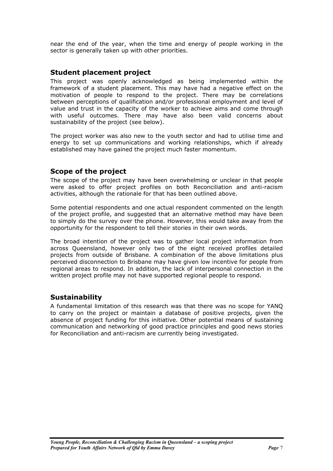<span id="page-6-0"></span>near the end of the year, when the time and energy of people working in the sector is generally taken up with other priorities.

### **Student placement project**

This project was openly acknowledged as being implemented within the framework of a student placement. This may have had a negative effect on the motivation of people to respond to the project. There may be correlations between perceptions of qualification and/or professional employment and level of value and trust in the capacity of the worker to achieve aims and come through with useful outcomes. There may have also been valid concerns about sustainability of the project (see below).

The project worker was also new to the youth sector and had to utilise time and energy to set up communications and working relationships, which if already established may have gained the project much faster momentum.

### **Scope of the project**

The scope of the project may have been overwhelming or unclear in that people were asked to offer project profiles on both Reconciliation and anti-racism activities, although the rationale for that has been outlined above.

Some potential respondents and one actual respondent commented on the length of the project profile, and suggested that an alternative method may have been to simply do the survey over the phone. However, this would take away from the opportunity for the respondent to tell their stories in their own words.

The broad intention of the project was to gather local project information from across Queensland, however only two of the eight received profiles detailed projects from outside of Brisbane. A combination of the above limitations plus perceived disconnection to Brisbane may have given low incentive for people from regional areas to respond. In addition, the lack of interpersonal connection in the written project profile may not have supported regional people to respond.

### **Sustainability**

A fundamental limitation of this research was that there was no scope for YANQ to carry on the project or maintain a database of positive projects, given the absence of project funding for this initiative. Other potential means of sustaining communication and networking of good practice principles and good news stories for Reconciliation and anti-racism are currently being investigated.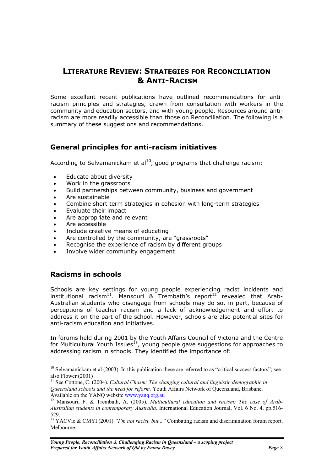## <span id="page-7-0"></span>**LITERATURE REVIEW: STRATEGIES FOR RECONCILIATION & ANTI-RACISM**

Some excellent recent publications have outlined recommendations for antiracism principles and strategies, drawn from consultation with workers in the community and education sectors, and with young people. Resources around antiracism are more readily accessible than those on Reconciliation. The following is a summary of these suggestions and recommendations.

### **General principles for anti-racism initiatives**

According to Selvamanickam et  $al^{10}$ , good programs that challenge racism:

- Educate about diversity
- Work in the grassroots
- Build partnerships between community, business and government
- Are sustainable
- Combine short term strategies in cohesion with long-term strategies
- Evaluate their impact
- Are appropriate and relevant
- Are accessible
- Include creative means of educating
- Are controlled by the community, are "grassroots"
- Recognise the experience of racism by different groups
- Involve wider community engagement

### **Racisms in schools**

 $\overline{a}$ 

Schools are key settings for young people experiencing racist incidents and institutional racism<sup>11</sup>. Mansouri & Trembath's report<sup>12</sup> revealed that Arab-Australian students who disengage from schools may do so, in part, because of perceptions of teacher racism and a lack of acknowledgement and effort to address it on the part of the school. However, schools are also potential sites for anti-racism education and initiatives.

In forums held during 2001 by the Youth Affairs Council of Victoria and the Centre for Multicultural Youth Issues<sup>13</sup>, young people gave suggestions for approaches to addressing racism in schools. They identified the importance of:

<span id="page-7-1"></span> $10$  Selvamanickam et al (2003). In this publication these are referred to as "critical success factors"; see also Flower (2001)<br><sup>11</sup> See Cottone, C. (2004). *Cultural Chasm: The changing cultural and linguistic demographic in* 

<span id="page-7-2"></span>*Queensland schools and the need for reform.* Youth Affairs Network of Queensland, Brisbane.<br>Available on the YANO website www.yang.org.au

<span id="page-7-3"></span><sup>&</sup>lt;sup>12</sup> Mansouri, F. & Trembath, A. (2005). *Multicultural education and racism: The case of Arab-Australian students in contemporary Australia.* International Education Journal, Vol. 6 No. 4, pp.516-

<span id="page-7-4"></span><sup>529. 13</sup> YACVic & CMYI (2001) *"I'm not racist, but..."* Combating racism and discrimination forum report. Melbourne.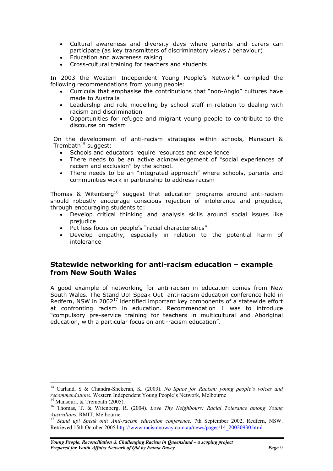- <span id="page-8-0"></span>• Cultural awareness and diversity days where parents and carers can participate (as key transmitters of discriminatory views / behaviour)
- Education and awareness raising
- Cross-cultural training for teachers and students

In 2003 the Western Independent Young People's Network<sup>14</sup> compiled the following recommendations from young people:

- Curricula that emphasise the contributions that "non-Anglo" cultures have made to Australia
- Leadership and role modelling by school staff in relation to dealing with racism and discrimination
- Opportunities for refugee and migrant young people to contribute to the discourse on racism

On the development of anti-racism strategies within schools, Mansouri & Trembath $15$  suggest:

- Schools and educators require resources and experience
- There needs to be an active acknowledgement of "social experiences of racism and exclusion" by the school.
- There needs to be an "integrated approach" where schools, parents and communities work in partnership to address racism

Thomas & Witenberg<sup>16</sup> suggest that education programs around anti-racism should robustly encourage conscious rejection of intolerance and prejudice, through encouraging students to:

- Develop critical thinking and analysis skills around social issues like prejudice
- Put less focus on people's "racial characteristics"
- Develop empathy, especially in relation to the potential harm of intolerance

### **Statewide networking for anti-racism education – example from New South Wales**

A good example of networking for anti-racism in education comes from New South Wales. The Stand Up! Speak Out! anti-racism education conference held in Redfern, NSW in 2002 $^{17}$  identified important key components of a statewide effort at confronting racism in education. Recommendation 1 was to introduce "compulsory pre-service training for teachers in multicultural and Aboriginal education, with a particular focus on anti-racism education".

 $\overline{a}$ 

<span id="page-8-1"></span><sup>14</sup> Carland, S & Chandra-Shekeran, K. (2003). *No Space for Racism: young people's voices and* 

<span id="page-8-3"></span><span id="page-8-2"></span>

*recommendations.* Western Independent Young People's Network, Melbourne<br><sup>15</sup> Mansouri. & Trembath (2005).<br><sup>16</sup> Thomas, T. & Witenberg, R. (2004). *Love Thy Neighbours: Racial Tolerance among Young*<br>*Australians*. RMIT. Me

<span id="page-8-4"></span><sup>&</sup>lt;sup>17</sup> Stand up! Speak out! Anti-racism education conference, 7th September 2002, Redfern, NSW. Retrieved 15th October 2005 [http://www.racismnoway.com.au/news/pages/14\\_20020930.html](http://www.racismnoway.com.au/news/pages/14_20020930.html)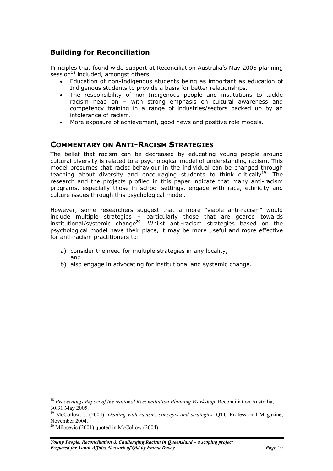## <span id="page-9-0"></span>**Building for Reconciliation**

Principles that found wide support at Reconciliation Australia's May 2005 planning session $^{18}$  included, amongst others,

- Education of non-Indigenous students being as important as education of Indigenous students to provide a basis for better relationships.
- The responsibility of non-Indigenous people and institutions to tackle racism head on – with strong emphasis on cultural awareness and competency training in a range of industries/sectors backed up by an intolerance of racism.
- More exposure of achievement, good news and positive role models.

## **COMMENTARY ON ANTI-RACISM STRATEGIES**

The belief that racism can be decreased by educating young people around cultural diversity is related to a psychological model of understanding racism. This model presumes that racist behaviour in the individual can be changed through teaching about diversity and encouraging students to think critically<sup>19</sup>. The research and the projects profiled in this paper indicate that many anti-racism programs, especially those in school settings, engage with race, ethnicity and culture issues through this psychological model.

However, some researchers suggest that a more "viable anti-racism" would include multiple strategies – particularly those that are geared towards institutional/systemic change<sup>20</sup>. Whilst anti-racism strategies based on the psychological model have their place, it may be more useful and more effective for anti-racism practitioners to:

- a) consider the need for multiple strategies in any locality, and
- b) also engage in advocating for institutional and systemic change.

<span id="page-9-1"></span> $\overline{a}$ <sup>18</sup> Proceedings Report of the National Reconciliation Planning Workshop, Reconciliation Australia,

<span id="page-9-2"></span><sup>30/31</sup> May 2005. 19 McCollow, J. (2004). *Dealing with racism: concepts and strategies.* QTU Professional Magazine, November 2004. <sup>20</sup> Milosevic (2001) quoted in McCollow (2004)

<span id="page-9-3"></span>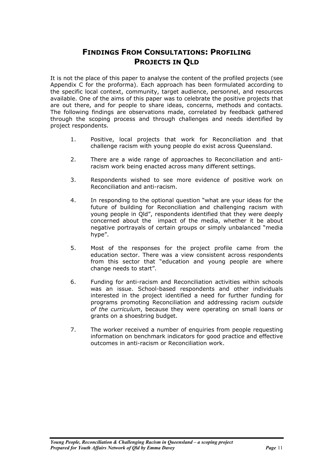## **FINDINGS FROM CONSULTATIONS: PROFILING PROJECTS IN QLD**

<span id="page-10-0"></span>It is not the place of this paper to analyse the content of the profiled projects (see Appendix C for the proforma). Each approach has been formulated according to the specific local context, community, target audience, personnel, and resources available. One of the aims of this paper was to celebrate the positive projects that are out there, and for people to share ideas, concerns, methods and contacts. The following findings are observations made, correlated by feedback gathered through the scoping process and through challenges and needs identified by project respondents.

- 1. Positive, local projects that work for Reconciliation and that challenge racism with young people do exist across Queensland.
- 2. There are a wide range of approaches to Reconciliation and antiracism work being enacted across many different settings.
- 3. Respondents wished to see more evidence of positive work on Reconciliation and anti-racism.
- 4. In responding to the optional question "what are your ideas for the future of building for Reconciliation and challenging racism with young people in Qld", respondents identified that they were deeply concerned about the impact of the media, whether it be about negative portrayals of certain groups or simply unbalanced "media hype".
- 5. Most of the responses for the project profile came from the education sector. There was a view consistent across respondents from this sector that "education and young people are where change needs to start".
- 6. Funding for anti-racism and Reconciliation activities within schools was an issue. School-based respondents and other individuals interested in the project identified a need for further funding for programs promoting Reconciliation and addressing racism *outside of the curriculum*, because they were operating on small loans or grants on a shoestring budget.
- 7. The worker received a number of enquiries from people requesting information on benchmark indicators for good practice and effective outcomes in anti-racism or Reconciliation work.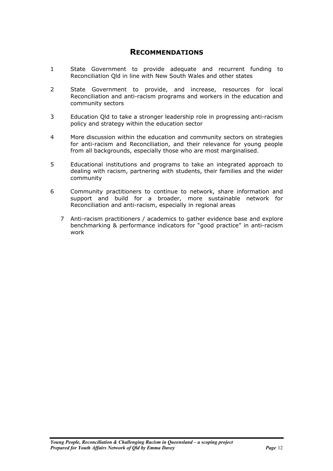### **RECOMMENDATIONS**

- <span id="page-11-0"></span>1 State Government to provide adequate and recurrent funding to Reconciliation Qld in line with New South Wales and other states
- 2 State Government to provide, and increase, resources for local Reconciliation and anti-racism programs and workers in the education and community sectors
- 3 Education Qld to take a stronger leadership role in progressing anti-racism policy and strategy within the education sector
- 4 More discussion within the education and community sectors on strategies for anti-racism and Reconciliation, and their relevance for young people from all backgrounds, especially those who are most marginalised.
- 5 Educational institutions and programs to take an integrated approach to dealing with racism, partnering with students, their families and the wider community
- 6 Community practitioners to continue to network, share information and support and build for a broader, more sustainable network for Reconciliation and anti-racism, especially in regional areas
	- 7 Anti-racism practitioners / academics to gather evidence base and explore benchmarking & performance indicators for "good practice" in anti-racism work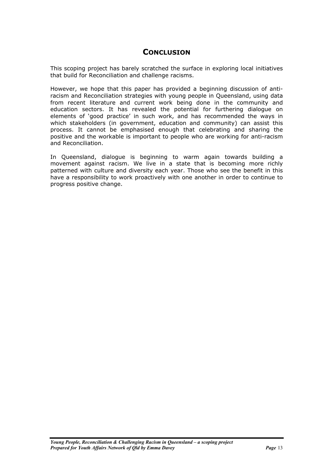### **CONCLUSION**

<span id="page-12-0"></span>This scoping project has barely scratched the surface in exploring local initiatives that build for Reconciliation and challenge racisms.

However, we hope that this paper has provided a beginning discussion of antiracism and Reconciliation strategies with young people in Queensland, using data from recent literature and current work being done in the community and education sectors. It has revealed the potential for furthering dialogue on elements of 'good practice' in such work, and has recommended the ways in which stakeholders (in government, education and community) can assist this process. It cannot be emphasised enough that celebrating and sharing the positive and the workable is important to people who are working for anti-racism and Reconciliation.

In Queensland, dialogue is beginning to warm again towards building a movement against racism. We live in a state that is becoming more richly patterned with culture and diversity each year. Those who see the benefit in this have a responsibility to work proactively with one another in order to continue to progress positive change.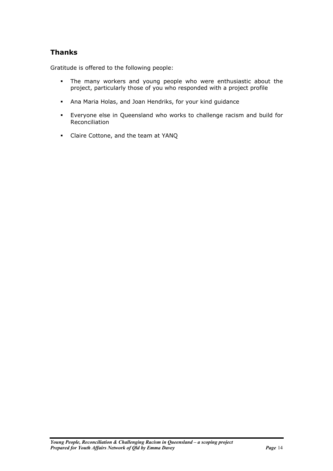## <span id="page-13-0"></span>**Thanks**

Gratitude is offered to the following people:

- The many workers and young people who were enthusiastic about the project, particularly those of you who responded with a project profile
- Ana Maria Holas, and Joan Hendriks, for your kind guidance
- Everyone else in Queensland who works to challenge racism and build for Reconciliation
- Claire Cottone, and the team at YANQ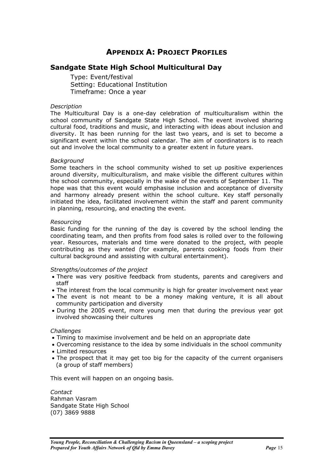## **APPENDIX A: PROJECT PROFILES**

### <span id="page-14-0"></span>**Sandgate State High School Multicultural Day**

Type: Event/festival Setting: Educational Institution Timeframe: Once a year

#### *Description*

The Multicultural Day is a one-day celebration of multiculturalism within the school community of Sandgate State High School. The event involved sharing cultural food, traditions and music, and interacting with ideas about inclusion and diversity. It has been running for the last two years, and is set to become a significant event within the school calendar. The aim of coordinators is to reach out and involve the local community to a greater extent in future years.

#### *Background*

Some teachers in the school community wished to set up positive experiences around diversity, multiculturalism, and make visible the different cultures within the school community, especially in the wake of the events of September 11. The hope was that this event would emphasise inclusion and acceptance of diversity and harmony already present within the school culture. Key staff personally initiated the idea, facilitated involvement within the staff and parent community in planning, resourcing, and enacting the event.

#### *Resourcing*

Basic funding for the running of the day is covered by the school lending the coordinating team, and then profits from food sales is rolled over to the following year. Resources, materials and time were donated to the project, with people contributing as they wanted (for example, parents cooking foods from their cultural background and assisting with cultural entertainment).

#### *Strengths/outcomes of the project*

- There was very positive feedback from students, parents and caregivers and staff
- The interest from the local community is high for greater involvement next year
- The event is not meant to be a money making venture, it is all about community participation and diversity
- During the 2005 event, more young men that during the previous year got involved showcasing their cultures

#### *Challenges*

- Timing to maximise involvement and be held on an appropriate date
- Overcoming resistance to the idea by some individuals in the school community
- Limited resources
- The prospect that it may get too big for the capacity of the current organisers (a group of staff members)

This event will happen on an ongoing basis.

*Contact*  Rahman Vasram Sandgate State High School (07) 3869 9888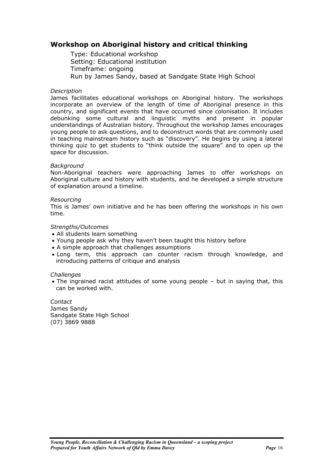### <span id="page-15-0"></span>**Workshop on Aboriginal history and critical thinking**

Type: Educational workshop Setting: Educational institution Timeframe: ongoing Run by James Sandy, based at Sandgate State High School

### *Description*

James facilitates educational workshops on Aboriginal history. The workshops incorporate an overview of the length of time of Aboriginal presence in this country, and significant events that have occurred since colonisation. It includes debunking some cultural and linguistic myths and present in popular understandings of Australian history. Throughout the workshop James encourages young people to ask questions, and to deconstruct words that are commonly used in teaching mainstream history such as "discovery". He begins by using a lateral thinking quiz to get students to "think outside the square" and to open up the space for discussion.

### *Background*

Non-Aboriginal teachers were approaching James to offer workshops on Aboriginal culture and history with students, and he developed a simple structure of explanation around a timeline.

#### *Resourcing*

This is James' own initiative and he has been offering the workshops in his own time.

### *Strengths/Outcomes*

- All students learn something
- Young people ask why they haven't been taught this history before
- A simple approach that challenges assumptions
- Long term, this approach can counter racism through knowledge, and introducing patterns of critique and analysis

#### *Challenges*

• The ingrained racist attitudes of some young people – but in saying that, this can be worked with.

*Contact*  James Sandy Sandgate State High School (07) 3869 9888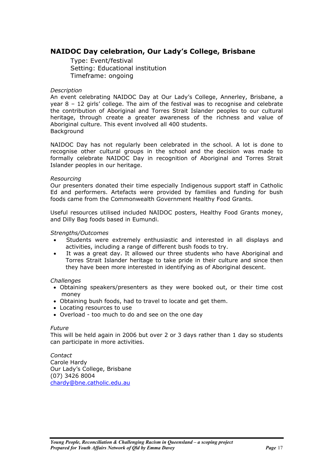### <span id="page-16-0"></span>**NAIDOC Day celebration, Our Lady's College, Brisbane**

Type: Event/festival Setting: Educational institution Timeframe: ongoing

### *Description*

An event celebrating NAIDOC Day at Our Lady's College, Annerley, Brisbane, a year  $8 - 12$  girls' college. The aim of the festival was to recognise and celebrate the contribution of Aboriginal and Torres Strait Islander peoples to our cultural heritage, through create a greater awareness of the richness and value of Aboriginal culture. This event involved all 400 students. Background

NAIDOC Day has not regularly been celebrated in the school. A lot is done to recognise other cultural groups in the school and the decision was made to formally celebrate NAIDOC Day in recognition of Aboriginal and Torres Strait Islander peoples in our heritage.

#### *Resourcing*

Our presenters donated their time especially Indigenous support staff in Catholic Ed and performers. Artefacts were provided by families and funding for bush foods came from the Commonwealth Government Healthy Food Grants.

Useful resources utilised included NAIDOC posters, Healthy Food Grants money, and Dilly Bag foods based in Eumundi.

### *Strengths/Outcomes*

- Students were extremely enthusiastic and interested in all displays and activities, including a range of different bush foods to try.
- It was a great day. It allowed our three students who have Aboriginal and Torres Strait Islander heritage to take pride in their culture and since then they have been more interested in identifying as of Aboriginal descent.

#### *Challenges*

- Obtaining speakers/presenters as they were booked out, or their time cost money
- Obtaining bush foods, had to travel to locate and get them.
- Locating resources to use
- Overload too much to do and see on the one day

#### *Future*

This will be held again in 2006 but over 2 or 3 days rather than 1 day so students can participate in more activities.

*Contact*  Carole Hardy Our Lady's College, Brisbane (07) 3426 8004 [chardy@bne.catholic.edu.au](mailto:chardy@bne.catholic.edu.au)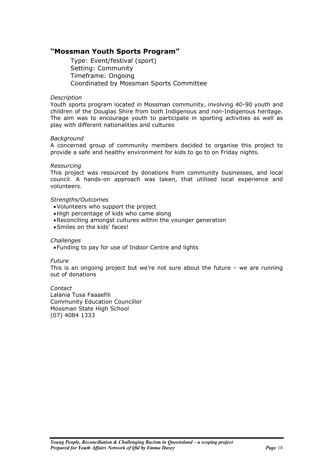### <span id="page-17-0"></span>**"Mossman Youth Sports Program"**

Type: Event/festival (sport) Setting: Community Timeframe: Ongoing Coordinated by Mossman Sports Committee

### *Description*

Youth sports program located in Mossman community, involving 40-90 youth and children of the Douglas Shire from both Indigenous and non-Indigenous heritage. The aim was to encourage youth to participate in sporting activities as well as play with different nationalities and cultures

#### *Background*

A concerned group of community members decided to organise this project to provide a safe and healthy environment for kids to go to on Friday nights.

#### *Resourcing*

This project was resourced by donations from community businesses, and local council. A hands-on approach was taken, that utilised local experience and volunteers.

### *Strengths/Outcomes*

- •Volunteers who support the project
- •High percentage of kids who came along
- •Reconciling amongst cultures within the younger generation
- •Smiles on the kids' faces!

#### *Challenges*

•Funding to pay for use of Indoor Centre and lights

#### *Future*

This is an ongoing project but we're not sure about the future – we are running out of donations

*Contact*  Lalania Tusa Faaaefili Community Education Councillor Mossman State High School (07) 4084 1333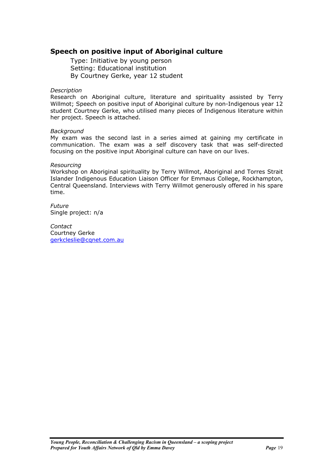### <span id="page-18-0"></span>**Speech on positive input of Aboriginal culture**

Type: Initiative by young person Setting: Educational institution By Courtney Gerke, year 12 student

#### *Description*

Research on Aboriginal culture, literature and spirituality assisted by Terry Willmot; Speech on positive input of Aboriginal culture by non-Indigenous year 12 student Courtney Gerke, who utilised many pieces of Indigenous literature within her project. Speech is attached.

#### *Background*

My exam was the second last in a series aimed at gaining my certificate in communication. The exam was a self discovery task that was self-directed focusing on the positive input Aboriginal culture can have on our lives.

#### *Resourcing*

Workshop on Aboriginal spirituality by Terry Willmot, Aboriginal and Torres Strait Islander Indigenous Education Liaison Officer for Emmaus College, Rockhampton, Central Queensland. Interviews with Terry Willmot generously offered in his spare time.

*Future*  Single project: n/a

*Contact*  Courtney Gerke [gerkcleslie@cqnet.com.au](mailto:gerkcleslie@cqnet.com.au)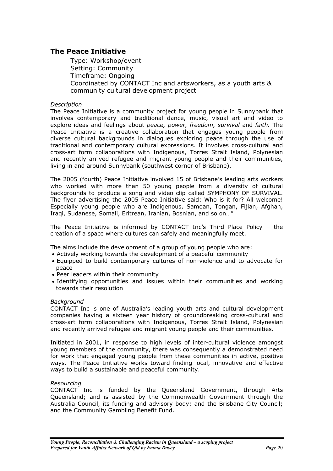### <span id="page-19-0"></span>**The Peace Initiative**

Type: Workshop/event Setting: Community Timeframe: Ongoing Coordinated by CONTACT Inc and artsworkers, as a youth arts & community cultural development project

### *Description*

The Peace Initiative is a community project for young people in Sunnybank that involves contemporary and traditional dance, music, visual art and video to explore ideas and feelings about *peace, power, freedom, survival* and *faith.* The Peace Initiative is a creative collaboration that engages young people from diverse cultural backgrounds in dialogues exploring peace through the use of traditional and contemporary cultural expressions. It involves cross-cultural and cross-art form collaborations with Indigenous, Torres Strait Island, Polynesian and recently arrived refugee and migrant young people and their communities, living in and around Sunnybank (southwest corner of Brisbane).

The 2005 (fourth) Peace Initiative involved 15 of Brisbane's leading arts workers who worked with more than 50 young people from a diversity of cultural backgrounds to produce a song and video clip called SYMPHONY OF SURVIVAL. The flyer advertising the 2005 Peace Initiative said: Who is it for? All welcome! Especially young people who are Indigenous, Samoan, Tongan, Fijian, Afghan, Iraqi, Sudanese, Somali, Eritrean, Iranian, Bosnian, and so on…"

The Peace Initiative is informed by CONTACT Inc's Third Place Policy – the creation of a space where cultures can safely and meaningfully meet.

The aims include the development of a group of young people who are:

- Actively working towards the development of a peaceful community
- Equipped to build contemporary cultures of non-violence and to advocate for peace
- Peer leaders within their community
- Identifying opportunities and issues within their communities and working towards their resolution

#### *Background*

CONTACT Inc is one of Australia's leading youth arts and cultural development companies having a sixteen year history of groundbreaking cross-cultural and cross-art form collaborations with Indigenous, Torres Strait Island, Polynesian and recently arrived refugee and migrant young people and their communities.

Initiated in 2001, in response to high levels of inter-cultural violence amongst young members of the community, there was consequently a demonstrated need for work that engaged young people from these communities in active, positive ways. The Peace Initiative works toward finding local, innovative and effective ways to build a sustainable and peaceful community.

#### *Resourcing*

CONTACT Inc is funded by the Queensland Government, through Arts Queensland; and is assisted by the Commonwealth Government through the Australia Council, its funding and advisory body; and the Brisbane City Council; and the Community Gambling Benefit Fund.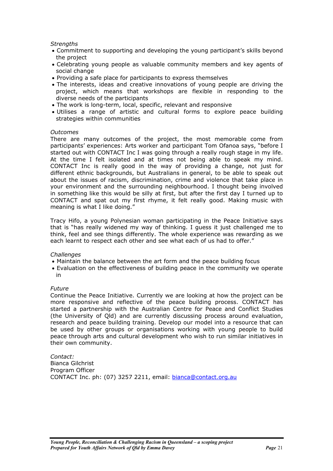### *Strengths*

- Commitment to supporting and developing the young participant's skills beyond the project
- Celebrating young people as valuable community members and key agents of social change
- Providing a safe place for participants to express themselves
- The interests, ideas and creative innovations of young people are driving the project, which means that workshops are flexible in responding to the diverse needs of the participants
- The work is long-term, local, specific, relevant and responsive
- Utilises a range of artistic and cultural forms to explore peace building strategies within communities

#### *Outcomes*

There are many outcomes of the project, the most memorable come from participants' experiences: Arts worker and participant Tom Ofanoa says, "before I started out with CONTACT Inc I was going through a really rough stage in my life. At the time I felt isolated and at times not being able to speak my mind. CONTACT Inc is really good in the way of providing a change, not just for different ethnic backgrounds, but Australians in general, to be able to speak out about the issues of racism, discrimination, crime and violence that take place in your environment and the surrounding neighbourhood. I thought being involved in something like this would be silly at first, but after the first day I turned up to CONTACT and spat out my first rhyme, it felt really good. Making music with meaning is what I like doing."

Tracy Hifo, a young Polynesian woman participating in the Peace Initiative says that is "has really widened my way of thinking. I guess it just challenged me to think, feel and see things differently. The whole experience was rewarding as we each learnt to respect each other and see what each of us had to offer."

#### *Challenges*

- Maintain the balance between the art form and the peace building focus
- Evaluation on the effectiveness of building peace in the community we operate in

#### *Future*

Continue the Peace Initiative. Currently we are looking at how the project can be more responsive and reflective of the peace building process. CONTACT has started a partnership with the Australian Centre for Peace and Conflict Studies (the University of Qld) and are currently discussing process around evaluation, research and peace building training. Develop our model into a resource that can be used by other groups or organisations working with young people to build peace through arts and cultural development who wish to run similar initiatives in their own community.

*Contact:*  Bianca Gilchrist Program Officer CONTACT Inc. ph: (07) 3257 2211, email: [bianca@contact.org.au](mailto:bianca@contact.org.au)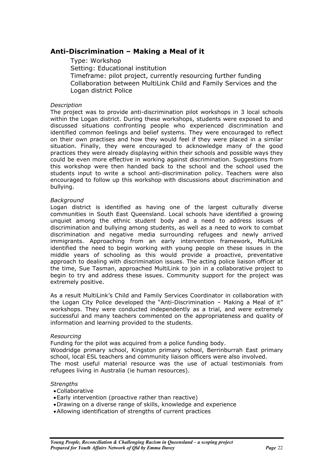### <span id="page-21-0"></span>**Anti-Discrimination – Making a Meal of it**

Type: Workshop Setting: Educational institution Timeframe: pilot project, currently resourcing further funding Collaboration between MultiLink Child and Family Services and the Logan district Police

### *Description*

The project was to provide anti-discrimination pilot workshops in 3 local schools within the Logan district. During these workshops, students were exposed to and discussed situations confronting people who experienced discrimination and identified common feelings and belief systems. They were encouraged to reflect on their own practises and how they would feel if they were placed in a similar situation. Finally, they were encouraged to acknowledge many of the good practices they were already displaying within their schools and possible ways they could be even more effective in working against discrimination. Suggestions from this workshop were then handed back to the school and the school used the students input to write a school anti-discrimination policy. Teachers were also encouraged to follow up this workshop with discussions about discrimination and bullying.

#### *Background*

Logan district is identified as having one of the largest culturally diverse communities in South East Queensland. Local schools have identified a growing unquiet among the ethnic student body and a need to address issues of discrimination and bullying among students, as well as a need to work to combat discrimination and negative media surrounding refugees and newly arrived immigrants. Approaching from an early intervention framework, MultiLink identified the need to begin working with young people on these issues in the middle years of schooling as this would provide a proactive, preventative approach to dealing with discrimination issues. The acting police liaison officer at the time, Sue Tasman, approached MultiLink to join in a collaborative project to begin to try and address these issues. Community support for the project was extremely positive.

As a result MultiLink's Child and Family Services Coordinator in collaboration with the Logan City Police developed the "Anti-Discrimination – Making a Meal of it" workshops. They were conducted independently as a trial, and were extremely successful and many teachers commented on the appropriateness and quality of information and learning provided to the students.

#### *Resourcing*

Funding for the pilot was acquired from a police funding body.

Woodridge primary school, Kingston primary school, Berrinburrah East primary school, local ESL teachers and community liaison officers were also involved. The most useful material resource was the use of actual testimonials from refugees living in Australia (ie human resources).

#### *Strengths*

- •Collaborative
- •Early intervention (proactive rather than reactive)
- •Drawing on a diverse range of skills, knowledge and experience
- •Allowing identification of strengths of current practices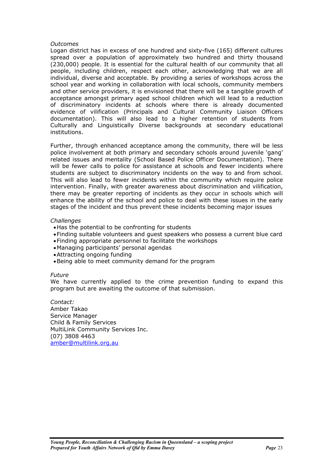#### *Outcomes*

Logan district has in excess of one hundred and sixty-five (165) different cultures spread over a population of approximately two hundred and thirty thousand (230,000) people. It is essential for the cultural health of our community that all people, including children, respect each other, acknowledging that we are all individual, diverse and acceptable. By providing a series of workshops across the school year and working in collaboration with local schools, community members and other service providers, it is envisioned that there will be a tangible growth of acceptance amongst primary aged school children which will lead to a reduction of discriminatory incidents at schools where there is already documented evidence of vilification (Principals and Cultural Community Liaison Officers documentation). This will also lead to a higher retention of students from Culturally and Linguistically Diverse backgrounds at secondary educational institutions.

Further, through enhanced acceptance among the community, there will be less police involvement at both primary and secondary schools around juvenile 'gang' related issues and mentality (School Based Police Officer Documentation). There will be fewer calls to police for assistance at schools and fewer incidents where students are subject to discriminatory incidents on the way to and from school. This will also lead to fewer incidents within the community which require police intervention. Finally, with greater awareness about discrimination and vilification, there may be greater reporting of incidents as they occur in schools which will enhance the ability of the school and police to deal with these issues in the early stages of the incident and thus prevent these incidents becoming major issues

#### *Challenges*

- •Has the potential to be confronting for students
- •Finding suitable volunteers and guest speakers who possess a current blue card
- •Finding appropriate personnel to facilitate the workshops
- •Managing participants' personal agendas
- •Attracting ongoing funding
- •Being able to meet community demand for the program

#### *Future*

We have currently applied to the crime prevention funding to expand this program but are awaiting the outcome of that submission.

*Contact:*  Amber Takao Service Manager Child & Family Services MultiLink Community Services Inc. (07) 3808 4463 [amber@multilink.org.au](mailto:amber@multilink.org.au)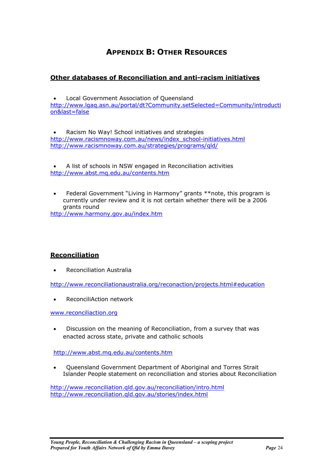## **APPENDIX B: OTHER RESOURCES**

### <span id="page-23-0"></span>**Other databases of Reconciliation and anti-racism initiatives**

• Local Government Association of Queensland [http://www.lgaq.asn.au/portal/dt?Community.setSelected=Community/introducti](http://www.lgaq.asn.au/portal/dt?Community.setSelected=Community/introduction&last=false) [on&last=false](http://www.lgaq.asn.au/portal/dt?Community.setSelected=Community/introduction&last=false)

• Racism No Way! School initiatives and strategies [http://www.racismnoway.com.au/news/index\\_school-initiatives.html](http://www.racismnoway.com.au/news/index_school-initiatives.html) <http://www.racismnoway.com.au/strategies/programs/qld/>

• A list of schools in NSW engaged in Reconciliation activities <http://www.abst.mq.edu.au/contents.htm>

• Federal Government "Living in Harmony" grants \*\*note, this program is currently under review and it is not certain whether there will be a 2006 grants round

<http://www.harmony.gov.au/index.htm>

### **Reconciliation**

• Reconciliation Australia

[http://www.reconciliationaustralia.org/reconaction/projects.html#education](http://www.reconciliationaustralia.org/reconaction/projects.html)

• ReconciliAction network

[www.reconciliaction.org](http://www.reconciliaction.org/)

• Discussion on the meaning of Reconciliation, from a survey that was enacted across state, private and catholic schools

<http://www.abst.mq.edu.au/contents.htm>

• Queensland Government Department of Aboriginal and Torres Strait Islander People statement on reconciliation and stories about Reconciliation

<http://www.reconciliation.qld.gov.au/reconciliation/intro.html> <http://www.reconciliation.qld.gov.au/stories/index.html>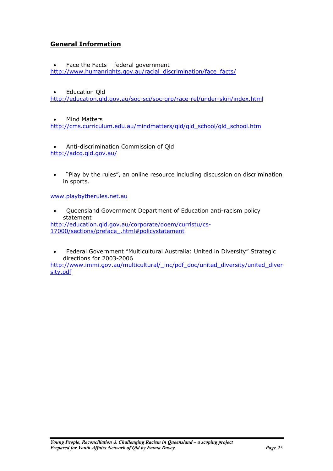### **General Information**

Face the Facts  $-$  federal government [http://www.humanrights.gov.au/racial\\_discrimination/face\\_facts/](http://www.humanrights.gov.au/racial_discrimination/face_facts/)

### • Education Qld

<http://education.qld.gov.au/soc-sci/soc-grp/race-rel/under-skin/index.html>

• Mind Matters [http://cms.curriculum.edu.au/mindmatters/qld/qld\\_school/qld\\_school.htm](http://cms.curriculum.edu.au/mindmatters/qld/qld_school/qld_school.htm)

• Anti-discrimination Commission of Qld <http://adcq.qld.gov.au/>

• "Play by the rules", an online resource including discussion on discrimination in sports.

[www.playbytherules.net.au](http://www.playbytherules.net.au/) 

• Queensland Government Department of Education anti-racism policy statement [http://education.qld.gov.au/corporate/doem/curristu/cs-](http://education.qld.gov.au/corporate/doem/curristu/cs-17000/sections/preface_.html)

[17000/sections/preface\\_.html#policystatement](http://education.qld.gov.au/corporate/doem/curristu/cs-17000/sections/preface_.html)

• Federal Government "Multicultural Australia: United in Diversity" Strategic directions for 2003-2006

[http://www.immi.gov.au/multicultural/\\_inc/pdf\\_doc/united\\_diversity/united\\_diver](http://www.immi.gov.au/multicultural/_inc/pdf_doc/united_diversity/united_diversity.pdf) [sity.pdf](http://www.immi.gov.au/multicultural/_inc/pdf_doc/united_diversity/united_diversity.pdf)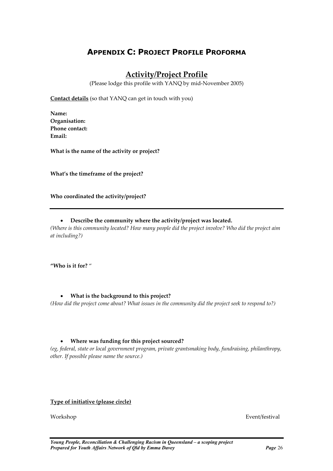## <span id="page-25-0"></span>**APPENDIX C: PROJECT PROFILE PROFORMA**

## **Activity/Project Profile**

(Please lodge this profile with YANQ by mid-November 2005)

**Contact details** (so that YANQ can get in touch with you)

**Name: Organisation: Phone contact: Email:** 

**What is the name of the activity or project?** 

**What's the timeframe of the project?** 

**Who coordinated the activity/project?** 

### • **Describe the community where the activity/project was located.**

*(Where is this community located? How many people did the project involve? Who did the project aim at including?)* 

**"Who is it for?** "

### • **What is the background to this project?**

*(How did the project come about? What issues in the community did the project seek to respond to?)* 

### • **Where was funding for this project sourced?**

*(eg, federal, state or local government program, private grantsmaking body, fundraising, philanthropy, other. If possible please name the source.)* 

### **Type of initiative (please circle)**

Workshop Event/festival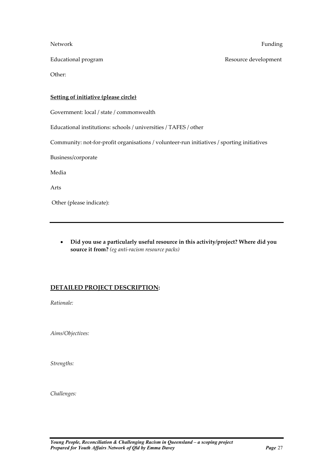Network Funding

Educational program **Resource development** Resource development

Other:

### **Setting of initiative (please circle)**

Government: local / state / commonwealth

Educational institutions: schools / universities / TAFES / other

Community: not-for-profit organisations / volunteer-run initiatives / sporting initiatives

Business/corporate

Media

Arts

Other (please indicate):

• **Did you use a particularly useful resource in this activity/project? Where did you source it from?** *(eg anti-racism resource packs)*

### **DETAILED PROJECT DESCRIPTION:**

*Rationale:* 

*Aims/Objectives:* 

*Strengths:* 

*Challenges:*